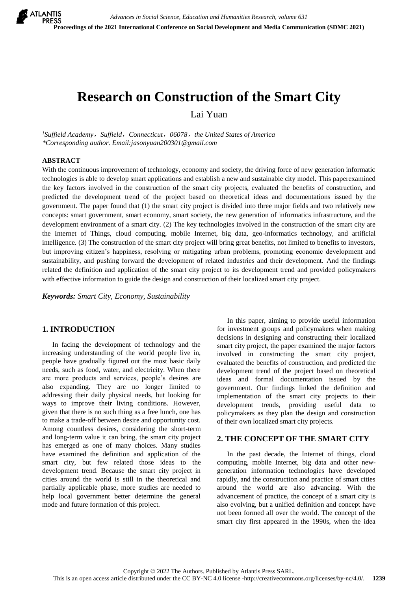# **Research on Construction of the Smart City**

Lai Yuan

*<sup>1</sup>Suffield Academy*,*Suffield*,*Connecticut*,*06078*,*the United States of America \*Corresponding author. Email:jasonyuan200301@gmail.com*

#### **ABSTRACT**

With the continuous improvement of technology, economy and society, the driving force of new generation informatic technologies is able to develop smart applications and establish a new and sustainable city model. This paperexamined the key factors involved in the construction of the smart city projects, evaluated the benefits of construction, and predicted the development trend of the project based on theoretical ideas and documentations issued by the government. The paper found that (1) the smart city project is divided into three major fields and two relatively new concepts: smart government, smart economy, smart society, the new generation of informatics infrastructure, and the development environment of a smart city. (2) The key technologies involved in the construction of the smart city are the Internet of Things, cloud computing, mobile Internet, big data, geo-informatics technology, and artificial intelligence. (3) The construction of the smart city project will bring great benefits, not limited to benefits to investors, but improving citizen's happiness, resolving or mitigating urban problems, promoting economic development and sustainability, and pushing forward the development of related industries and their development. And the findings related the definition and application of the smart city project to its development trend and provided policymakers with effective information to guide the design and construction of their localized smart city project.

*Keywords: Smart City, Economy, Sustainability*

# **1. INTRODUCTION**

In facing the development of technology and the increasing understanding of the world people live in, people have gradually figured out the most basic daily needs, such as food, water, and electricity. When there are more products and services, people's desires are also expanding. They are no longer limited to addressing their daily physical needs, but looking for ways to improve their living conditions. However, given that there is no such thing as a free lunch, one has to make a trade-off between desire and opportunity cost. Among countless desires, considering the short-term and long-term value it can bring, the smart city project has emerged as one of many choices. Many studies have examined the definition and application of the smart city, but few related those ideas to the development trend. Because the smart city project in cities around the world is still in the theoretical and partially applicable phase, more studies are needed to help local government better determine the general mode and future formation of this project.

In this paper, aiming to provide useful information for investment groups and policymakers when making decisions in designing and constructing their localized smart city project, the paper examined the major factors involved in constructing the smart city project, evaluated the benefits of construction, and predicted the development trend of the project based on theoretical ideas and formal documentation issued by the government. Our findings linked the definition and implementation of the smart city projects to their development trends, providing useful data to policymakers as they plan the design and construction of their own localized smart city projects.

#### **2. THE CONCEPT OF THE SMART CITY**

In the past decade, the Internet of things, cloud computing, mobile Internet, big data and other newgeneration information technologies have developed rapidly, and the construction and practice of smart cities around the world are also advancing. With the advancement of practice, the concept of a smart city is also evolving, but a unified definition and concept have not been formed all over the world. The concept of the smart city first appeared in the 1990s, when the idea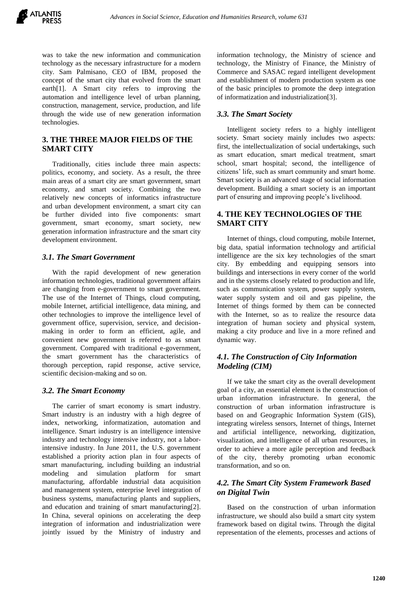was to take the new information and communication technology as the necessary infrastructure for a modern city. Sam Palmisano, CEO of IBM, proposed the concept of the smart city that evolved from the smart earth[1]. A Smart city refers to improving the automation and intelligence level of urban planning, construction, management, service, production, and life through the wide use of new generation information technologies.

# **3. THE THREE MAJOR FIELDS OF THE SMART CITY**

Traditionally, cities include three main aspects: politics, economy, and society. As a result, the three main areas of a smart city are smart government, smart economy, and smart society. Combining the two relatively new concepts of informatics infrastructure and urban development environment, a smart city can be further divided into five components: smart government, smart economy, smart society, new generation information infrastructure and the smart city development environment.

# *3.1. The Smart Government*

With the rapid development of new generation information technologies, traditional government affairs are changing from e-government to smart government. The use of the Internet of Things, cloud computing, mobile Internet, artificial intelligence, data mining, and other technologies to improve the intelligence level of government office, supervision, service, and decisionmaking in order to form an efficient, agile, and convenient new government is referred to as smart government. Compared with traditional e-government, the smart government has the characteristics of thorough perception, rapid response, active service, scientific decision-making and so on.

#### *3.2. The Smart Economy*

The carrier of smart economy is smart industry. Smart industry is an industry with a high degree of index, networking, informatization, automation and intelligence. Smart industry is an intelligence intensive industry and technology intensive industry, not a laborintensive industry. In June 2011, the U.S. government established a priority action plan in four aspects of smart manufacturing, including building an industrial modeling and simulation platform for smart manufacturing, affordable industrial data acquisition and management system, enterprise level integration of business systems, manufacturing plants and suppliers, and education and training of smart manufacturing[2]. In China, several opinions on accelerating the deep integration of information and industrialization were jointly issued by the Ministry of industry and

information technology, the Ministry of science and technology, the Ministry of Finance, the Ministry of Commerce and SASAC regard intelligent development and establishment of modern production system as one of the basic principles to promote the deep integration of informatization and industrialization[3].

### *3.3. The Smart Society*

Intelligent society refers to a highly intelligent society. Smart society mainly includes two aspects: first, the intellectualization of social undertakings, such as smart education, smart medical treatment, smart school, smart hospital; second, the intelligence of citizens' life, such as smart community and smart home. Smart society is an advanced stage of social information development. Building a smart society is an important part of ensuring and improving people's livelihood.

# **4. THE KEY TECHNOLOGIES OF THE SMART CITY**

Internet of things, cloud computing, mobile Internet, big data, spatial information technology and artificial intelligence are the six key technologies of the smart city. By embedding and equipping sensors into buildings and intersections in every corner of the world and in the systems closely related to production and life, such as communication system, power supply system, water supply system and oil and gas pipeline, the Internet of things formed by them can be connected with the Internet, so as to realize the resource data integration of human society and physical system, making a city produce and live in a more refined and dynamic way.

# *4.1. The Construction of City Information Modeling (CIM)*

If we take the smart city as the overall development goal of a city, an essential element is the construction of urban information infrastructure. In general, the construction of urban information infrastructure is based on and Geographic Information System (GIS), integrating wireless sensors, Internet of things, Internet and artificial intelligence, networking, digitization, visualization, and intelligence of all urban resources, in order to achieve a more agile perception and feedback of the city, thereby promoting urban economic transformation, and so on.

# *4.2. The Smart City System Framework Based on Digital Twin*

Based on the construction of urban information infrastructure, we should also build a smart city system framework based on digital twins. Through the digital representation of the elements, processes and actions of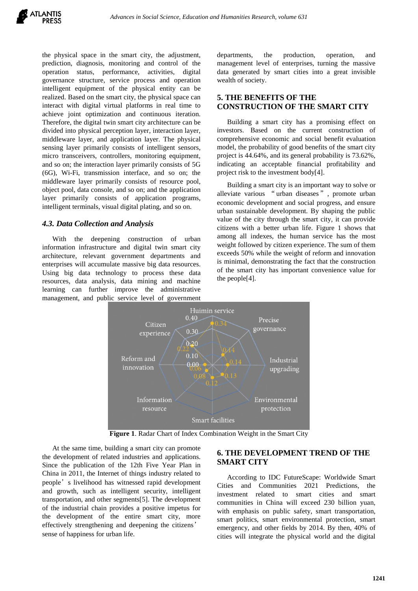the physical space in the smart city, the adjustment, prediction, diagnosis, monitoring and control of the operation status, performance, activities, digital governance structure, service process and operation intelligent equipment of the physical entity can be realized. Based on the smart city, the physical space can interact with digital virtual platforms in real time to achieve joint optimization and continuous iteration. Therefore, the digital twin smart city architecture can be divided into physical perception layer, interaction layer, middleware layer, and application layer. The physical sensing layer primarily consists of intelligent sensors, micro transceivers, controllers, monitoring equipment, and so on; the interaction layer primarily consists of 5G (6G), Wi-Fi, transmission interface, and so on; the middleware layer primarily consists of resource pool, object pool, data console, and so on; and the application layer primarily consists of application programs, intelligent terminals, visual digital plating, and so on.

#### *4.3. Data Collection and Analysis*

With the deepening construction of urban information infrastructure and digital twin smart city architecture, relevant government departments and enterprises will accumulate massive big data resources. Using big data technology to process these data resources, data analysis, data mining and machine learning can further improve the administrative management, and public service level of government

departments, the production, operation, and management level of enterprises, turning the massive data generated by smart cities into a great invisible wealth of society.

# **5. THE BENEFITS OF THE CONSTRUCTION OF THE SMART CITY**

Building a smart city has a promising effect on investors. Based on the current construction of comprehensive economic and social benefit evaluation model, the probability of good benefits of the smart city project is 44.64%, and its general probability is 73.62%, indicating an acceptable financial profitability and project risk to the investment body[4].

Building a smart city is an important way to solve or alleviate various "urban diseases", promote urban economic development and social progress, and ensure urban sustainable development. By shaping the public value of the city through the smart city, it can provide citizens with a better urban life. Figure 1 shows that among all indexes, the human service has the most weight followed by citizen experience. The sum of them exceeds 50% while the weight of reform and innovation is minimal, demonstrating the fact that the construction of the smart city has important convenience value for the people[4].



**Figure 1**. Radar Chart of Index Combination Weight in the Smart City

At the same time, building a smart city can promote the development of related industries and applications. Since the publication of the 12th Five Year Plan in China in 2011, the Internet of things industry related to people's livelihood has witnessed rapid development and growth, such as intelligent security, intelligent transportation, and other segments[5]. The development of the industrial chain provides a positive impetus for the development of the entire smart city, more effectively strengthening and deepening the citizens' sense of happiness for urban life.

# **6. THE DEVELOPMENT TREND OF THE SMART CITY**

According to IDC FutureScape: Worldwide Smart Cities and Communities 2021 Predictions, the investment related to smart cities and smart communities in China will exceed 230 billion yuan, with emphasis on public safety, smart transportation, smart politics, smart environmental protection, smart emergency, and other fields by 2014. By then, 40% of cities will integrate the physical world and the digital